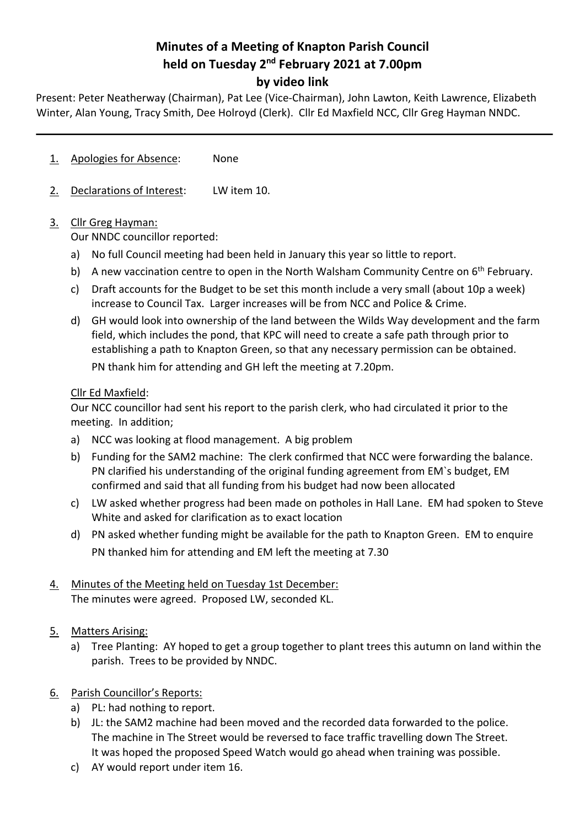# **Minutes of a Meeting of Knapton Parish Council held on Tuesday 2nd February 2021 at 7.00pm by video link**

Present: Peter Neatherway (Chairman), Pat Lee (Vice-Chairman), John Lawton, Keith Lawrence, Elizabeth Winter, Alan Young, Tracy Smith, Dee Holroyd (Clerk). Cllr Ed Maxfield NCC, Cllr Greg Hayman NNDC.

- 1. Apologies for Absence: None
- 2. Declarations of Interest: LW item 10.

## 3. Cllr Greg Hayman:

Our NNDC councillor reported:

- a) No full Council meeting had been held in January this year so little to report.
- b) A new vaccination centre to open in the North Walsham Community Centre on  $6<sup>th</sup>$  February.
- c) Draft accounts for the Budget to be set this month include a very small (about 10p a week) increase to Council Tax. Larger increases will be from NCC and Police & Crime.
- d) GH would look into ownership of the land between the Wilds Way development and the farm field, which includes the pond, that KPC will need to create a safe path through prior to establishing a path to Knapton Green, so that any necessary permission can be obtained. PN thank him for attending and GH left the meeting at 7.20pm.

### Cllr Ed Maxfield:

Our NCC councillor had sent his report to the parish clerk, who had circulated it prior to the meeting. In addition;

- a) NCC was looking at flood management. A big problem
- b) Funding for the SAM2 machine: The clerk confirmed that NCC were forwarding the balance. PN clarified his understanding of the original funding agreement from EM`s budget, EM confirmed and said that all funding from his budget had now been allocated
- c) LW asked whether progress had been made on potholes in Hall Lane. EM had spoken to Steve White and asked for clarification as to exact location
- d) PN asked whether funding might be available for the path to Knapton Green. EM to enquire PN thanked him for attending and EM left the meeting at 7.30
- 4. Minutes of the Meeting held on Tuesday 1st December: The minutes were agreed. Proposed LW, seconded KL.
- 5. Matters Arising:
	- a) Tree Planting: AY hoped to get a group together to plant trees this autumn on land within the parish. Trees to be provided by NNDC.
- 6. Parish Councillor's Reports:
	- a) PL: had nothing to report.
	- b) JL: the SAM2 machine had been moved and the recorded data forwarded to the police. The machine in The Street would be reversed to face traffic travelling down The Street. It was hoped the proposed Speed Watch would go ahead when training was possible.
	- c) AY would report under item 16.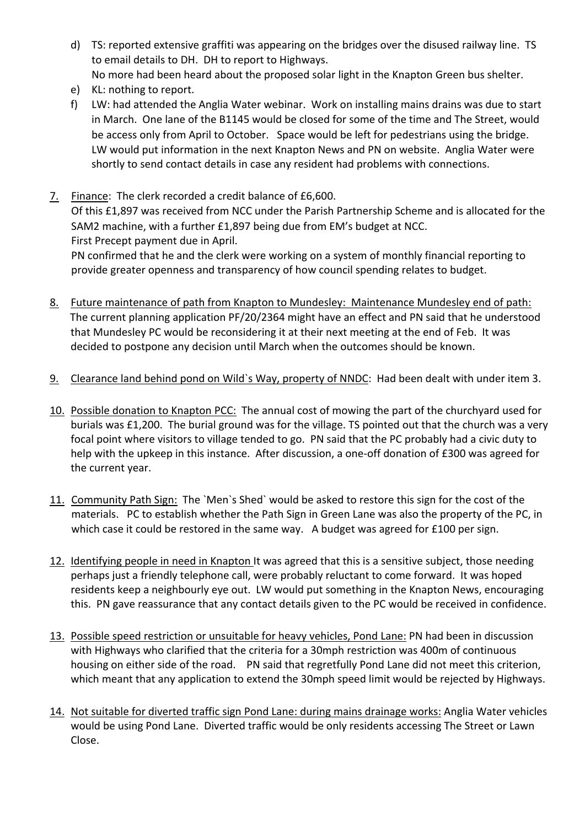- d) TS: reported extensive graffiti was appearing on the bridges over the disused railway line. TS to email details to DH. DH to report to Highways. No more had been heard about the proposed solar light in the Knapton Green bus shelter.
- e) KL: nothing to report.
- f) LW: had attended the Anglia Water webinar. Work on installing mains drains was due to start in March. One lane of the B1145 would be closed for some of the time and The Street, would be access only from April to October. Space would be left for pedestrians using the bridge. LW would put information in the next Knapton News and PN on website. Anglia Water were shortly to send contact details in case any resident had problems with connections.
- 7. Finance: The clerk recorded a credit balance of £6,600. Of this £1,897 was received from NCC under the Parish Partnership Scheme and is allocated for the SAM2 machine, with a further £1,897 being due from EM's budget at NCC. First Precept payment due in April. PN confirmed that he and the clerk were working on a system of monthly financial reporting to

provide greater openness and transparency of how council spending relates to budget.

- 8. Future maintenance of path from Knapton to Mundesley: Maintenance Mundesley end of path: The current planning application PF/20/2364 might have an effect and PN said that he understood that Mundesley PC would be reconsidering it at their next meeting at the end of Feb. It was decided to postpone any decision until March when the outcomes should be known.
- 9. Clearance land behind pond on Wild`s Way, property of NNDC: Had been dealt with under item 3.
- 10. Possible donation to Knapton PCC: The annual cost of mowing the part of the churchyard used for burials was £1,200. The burial ground was for the village. TS pointed out that the church was a very focal point where visitors to village tended to go. PN said that the PC probably had a civic duty to help with the upkeep in this instance. After discussion, a one-off donation of £300 was agreed for the current year.
- 11. Community Path Sign: The `Men`s Shed` would be asked to restore this sign for the cost of the materials. PC to establish whether the Path Sign in Green Lane was also the property of the PC, in which case it could be restored in the same way. A budget was agreed for £100 per sign.
- 12. Identifying people in need in Knapton It was agreed that this is a sensitive subject, those needing perhaps just a friendly telephone call, were probably reluctant to come forward. It was hoped residents keep a neighbourly eye out. LW would put something in the Knapton News, encouraging this. PN gave reassurance that any contact details given to the PC would be received in confidence.
- 13. Possible speed restriction or unsuitable for heavy vehicles, Pond Lane: PN had been in discussion with Highways who clarified that the criteria for a 30mph restriction was 400m of continuous housing on either side of the road. PN said that regretfully Pond Lane did not meet this criterion, which meant that any application to extend the 30mph speed limit would be rejected by Highways.
- 14. Not suitable for diverted traffic sign Pond Lane: during mains drainage works: Anglia Water vehicles would be using Pond Lane. Diverted traffic would be only residents accessing The Street or Lawn Close.